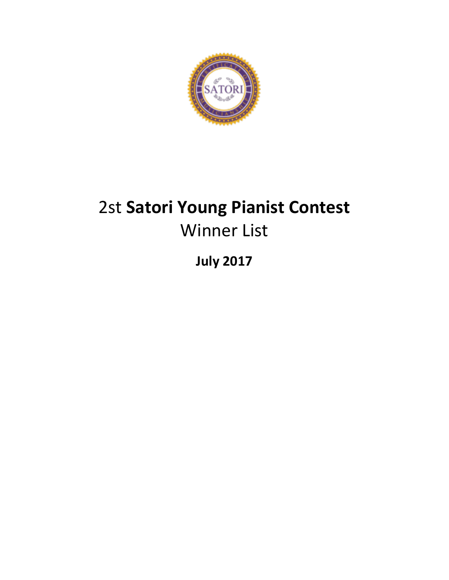

# 2st **Satori Young Pianist Contest** Winner List

**July 2017**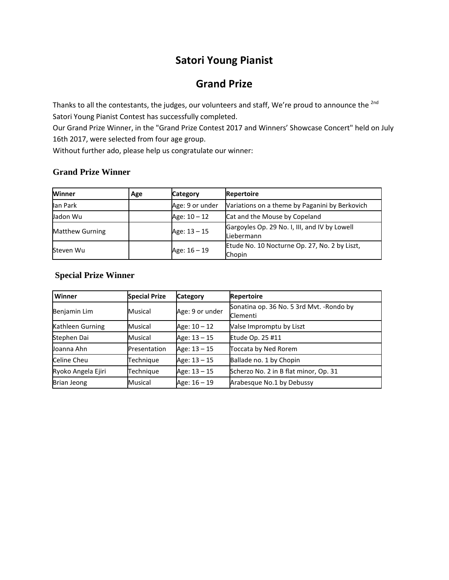### **Satori Young Pianist**

### **Grand Prize**

Thanks to all the contestants, the judges, our volunteers and staff, We're proud to announce the <sup>2nd</sup> Satori Young Pianist Contest has successfully completed.

Our Grand Prize Winner, in the "Grand Prize Contest 2017 and Winners' Showcase Concert" held on July 16th 2017, were selected from four age group.

Without further ado, please help us congratulate our winner:

#### **Grand Prize Winner**

| Winner                 | Age | Category        | <b>Repertoire</b>                                           |
|------------------------|-----|-----------------|-------------------------------------------------------------|
| lan Park               |     | Age: 9 or under | Variations on a theme by Paganini by Berkovich              |
| Jadon Wu               |     | Age: 10 - 12    | Cat and the Mouse by Copeland                               |
| <b>Matthew Gurning</b> |     | Age: 13 - 15    | Gargoyles Op. 29 No. I, III, and IV by Lowell<br>Liebermann |
| Steven Wu              |     | Age: 16 - 19    | Etude No. 10 Nocturne Op. 27, No. 2 by Liszt,<br>Chopin     |

#### **Special Prize Winner**

| Winner             | <b>Special Prize</b> | <b>Category</b> | <b>Repertoire</b>                                     |
|--------------------|----------------------|-----------------|-------------------------------------------------------|
| Benjamin Lim       | Musical              | Age: 9 or under | Sonatina op. 36 No. 5 3rd Myt. - Rondo by<br>Clementi |
| Kathleen Gurning   | Musical              | Age: 10 - 12    | Valse Impromptu by Liszt                              |
| Stephen Dai        | Musical              | Age: 13 - 15    | Etude Op. 25 #11                                      |
| Joanna Ahn         | Presentation         | Age: 13 - 15    | Toccata by Ned Rorem                                  |
| Celine Cheu        | Technique            | Age: 13 - 15    | Ballade no. 1 by Chopin                               |
| Ryoko Angela Ejiri | Technique            | Age: 13 - 15    | Scherzo No. 2 in B flat minor, Op. 31                 |
| Brian Jeong        | Musical              | Age: 16 - 19    | Arabesque No.1 by Debussy                             |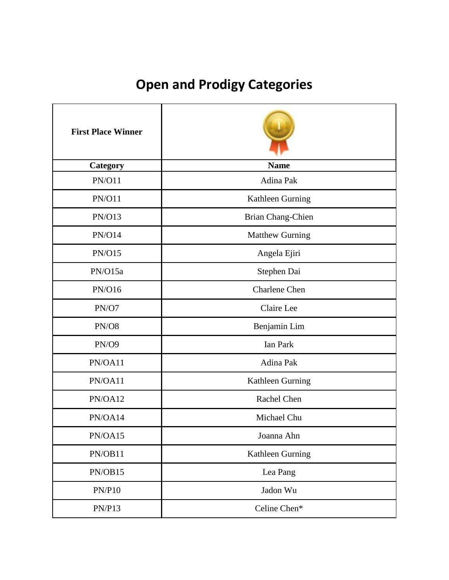# **Open and Prodigy Categories**

| <b>First Place Winner</b> |                        |
|---------------------------|------------------------|
| Category                  | <b>Name</b>            |
| <b>PN/O11</b>             | Adina Pak              |
| <b>PN/O11</b>             | Kathleen Gurning       |
| PN/O13                    | Brian Chang-Chien      |
| <b>PN/O14</b>             | <b>Matthew Gurning</b> |
| <b>PN/O15</b>             | Angela Ejiri           |
| PN/O15a                   | Stephen Dai            |
| PN/O16                    | <b>Charlene</b> Chen   |
| PN/O7                     | Claire Lee             |
| PN/O8                     | Benjamin Lim           |
| PN/O9                     | <b>Ian Park</b>        |
| PN/OA11                   | Adina Pak              |
| PN/OA11                   | Kathleen Gurning       |
| PN/OA12                   | Rachel Chen            |
| PN/OA14                   | Michael Chu            |
| PN/OA15                   | Joanna Ahn             |
| PN/OB11                   | Kathleen Gurning       |
| PN/OB15                   | Lea Pang               |
| PN/P10                    | Jadon Wu               |
| PN/P13                    | Celine Chen*           |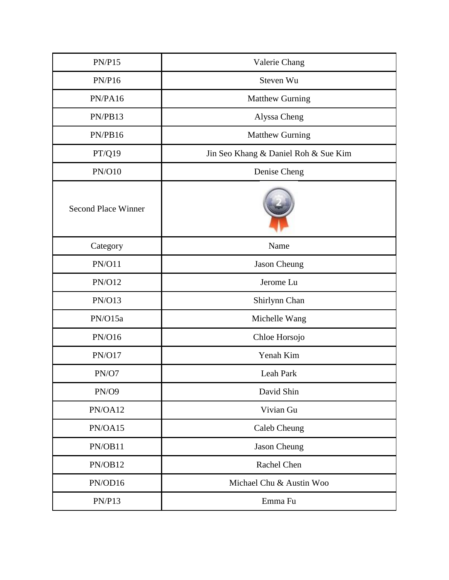| PN/P15                     | Valerie Chang                        |
|----------------------------|--------------------------------------|
| PN/P16                     | Steven Wu                            |
| PN/PA16                    | <b>Matthew Gurning</b>               |
| PN/PB13                    | Alyssa Cheng                         |
| PN/PB16                    | <b>Matthew Gurning</b>               |
| PT/Q19                     | Jin Seo Khang & Daniel Roh & Sue Kim |
| <b>PN/O10</b>              | Denise Cheng                         |
| <b>Second Place Winner</b> |                                      |
| Category                   | Name                                 |
| <b>PN/O11</b>              | Jason Cheung                         |
| <b>PN/O12</b>              | Jerome Lu                            |
| <b>PN/O13</b>              | Shirlynn Chan                        |
| PN/O15a                    | Michelle Wang                        |
| PN/O16                     | Chloe Horsojo                        |
| <b>PN/O17</b>              | Yenah Kim                            |
| PN/O7                      | Leah Park                            |
| <b>PN/O9</b>               | David Shin                           |
| PN/OA12                    | Vivian Gu                            |
| PN/OA15                    | Caleb Cheung                         |
| PN/OB11                    | Jason Cheung                         |
| PN/OB12                    | Rachel Chen                          |
| PN/OD16                    | Michael Chu & Austin Woo             |
| <b>PN/P13</b>              | Emma Fu                              |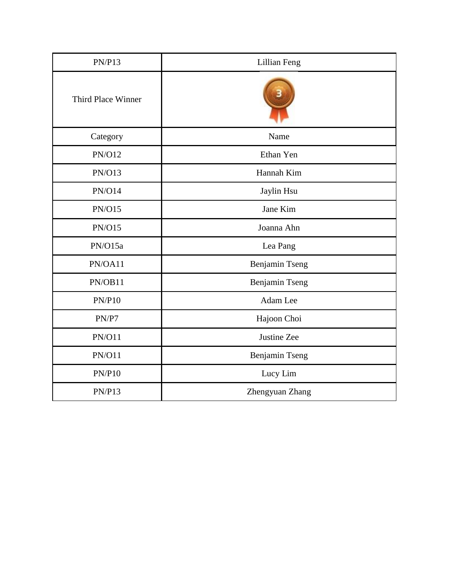| <b>PN/P13</b>      | <b>Lillian Feng</b> |
|--------------------|---------------------|
| Third Place Winner |                     |
| Category           | Name                |
| <b>PN/O12</b>      | Ethan Yen           |
| <b>PN/O13</b>      | Hannah Kim          |
| <b>PN/O14</b>      | Jaylin Hsu          |
| <b>PN/O15</b>      | Jane Kim            |
| <b>PN/O15</b>      | Joanna Ahn          |
| PN/O15a            | Lea Pang            |
| PN/OA11            | Benjamin Tseng      |
| PN/OB11            | Benjamin Tseng      |
| PN/P10             | Adam Lee            |
| PN/P7              | Hajoon Choi         |
| <b>PN/O11</b>      | Justine Zee         |
| <b>PN/O11</b>      | Benjamin Tseng      |
| PN/P10             | Lucy Lim            |
| <b>PN/P13</b>      | Zhengyuan Zhang     |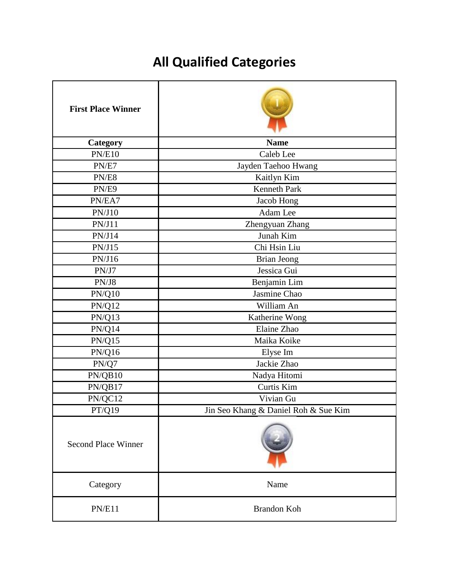# **All Qualified Categories**

| <b>First Place Winner</b>  |                                      |
|----------------------------|--------------------------------------|
| Category                   | <b>Name</b>                          |
| <b>PN/E10</b>              | Caleb Lee                            |
| PN/E7                      | Jayden Taehoo Hwang                  |
| PN/E8                      | Kaitlyn Kim                          |
| PN/E9                      | <b>Kenneth Park</b>                  |
| PN/EA7                     | Jacob Hong                           |
| PN/J10                     | Adam Lee                             |
| PN/J11                     | Zhengyuan Zhang                      |
| PN/J14                     | Junah Kim                            |
| PN/J15                     | Chi Hsin Liu                         |
| PN/J16                     | <b>Brian Jeong</b>                   |
| PN/J7                      | Jessica Gui                          |
| PN/J8                      | Benjamin Lim                         |
| PN/Q10                     | Jasmine Chao                         |
| <b>PN/Q12</b>              | William An                           |
| PN/Q13                     | Katherine Wong                       |
| $\text{PN}/\text{Q}14$     | Elaine Zhao                          |
| $PN/Q15$                   | Maika Koike                          |
| <b>PN/Q16</b>              | Elyse Im                             |
| $\text{PN}/\text{Q7}$      | Jackie Zhao                          |
| PN/QB10                    | Nadya Hitomi                         |
| PN/QB17                    | Curtis Kim                           |
| PN/QC12                    | Vivian Gu                            |
| PT/Q19                     | Jin Seo Khang & Daniel Roh & Sue Kim |
| <b>Second Place Winner</b> |                                      |
| Category                   | Name                                 |
| PN/E11                     | Brandon Koh                          |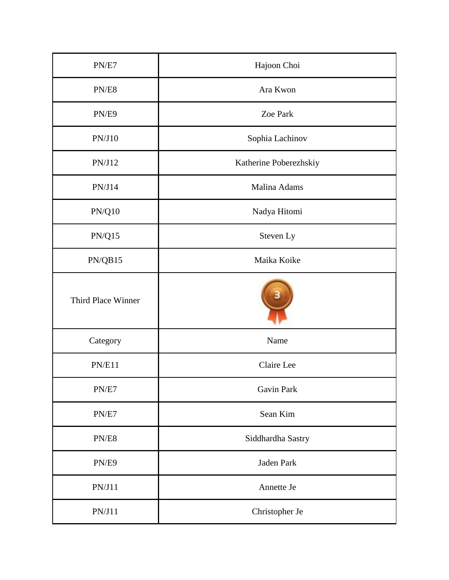| PN/E7                  | Hajoon Choi            |
|------------------------|------------------------|
| PN/E8                  | Ara Kwon               |
| PN/E9                  | Zoe Park               |
| PN/J10                 | Sophia Lachinov        |
| PN/J12                 | Katherine Poberezhskiy |
| PN/J14                 | Malina Adams           |
| $\text{PN}/\text{Q}10$ | Nadya Hitomi           |
| $PN/Q15$               | Steven Ly              |
| PN/QB15                | Maika Koike            |
| Third Place Winner     |                        |
| Category               | Name                   |
| PN/E11                 | Claire Lee             |
| PN/E7                  | <b>Gavin Park</b>      |
| PN/E7                  | Sean Kim               |
| PN/E8                  | Siddhardha Sastry      |
| PN/E9                  | Jaden Park             |
| PN/J11                 | Annette Je             |
| PN/J11                 | Christopher Je         |